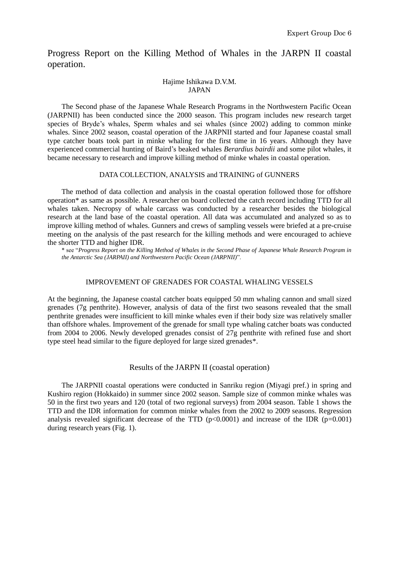Progress Report on the Killing Method of Whales in the JARPN II coastal operation.

## Hajime Ishikawa D.V.M. JAPAN

The Second phase of the Japanese Whale Research Programs in the Northwestern Pacific Ocean (JARPNII) has been conducted since the 2000 season. This program includes new research target species of Bryde's whales, Sperm whales and sei whales (since 2002) adding to common minke whales. Since 2002 season, coastal operation of the JARPNII started and four Japanese coastal small type catcher boats took part in minke whaling for the first time in 16 years. Although they have experienced commercial hunting of Baird's beaked whales *Berardius bairdii* and some pilot whales, it became necessary to research and improve killing method of minke whales in coastal operation.

## DATA COLLECTION, ANALYSIS and TRAINING of GUNNERS

The method of data collection and analysis in the coastal operation followed those for offshore operation\* as same as possible. A researcher on board collected the catch record including TTD for all whales taken. Necropsy of whale carcass was conducted by a researcher besides the biological research at the land base of the coastal operation. All data was accumulated and analyzed so as to improve killing method of whales. Gunners and crews of sampling vessels were briefed at a pre-cruise meeting on the analysis of the past research for the killing methods and were encouraged to achieve the shorter TTD and higher IDR.

\* see "*Progress Report on the Killing Method of Whales in the Second Phase of Japanese Whale Research Program in the Antarctic Sea (JARPAII) and Northwestern Pacific Ocean (JARPNII)*".

## IMPROVEMENT OF GRENADES FOR COASTAL WHALING VESSELS

At the beginning, the Japanese coastal catcher boats equipped 50 mm whaling cannon and small sized grenades (7g penthrite). However, analysis of data of the first two seasons revealed that the small penthrite grenades were insufficient to kill minke whales even if their body size was relatively smaller than offshore whales. Improvement of the grenade for small type whaling catcher boats was conducted from 2004 to 2006. Newly developed grenades consist of 27g penthrite with refined fuse and short type steel head similar to the figure deployed for large sized grenades\*.

## Results of the JARPN II (coastal operation)

The JARPNII coastal operations were conducted in Sanriku region (Miyagi pref.) in spring and Kushiro region (Hokkaido) in summer since 2002 season. Sample size of common minke whales was 50 in the first two years and 120 (total of two regional surveys) from 2004 season. Table 1 shows the TTD and the IDR information for common minke whales from the 2002 to 2009 seasons. Regression analysis revealed significant decrease of the TTD  $(p<0.0001)$  and increase of the IDR  $(p=0.001)$ during research years (Fig. 1).